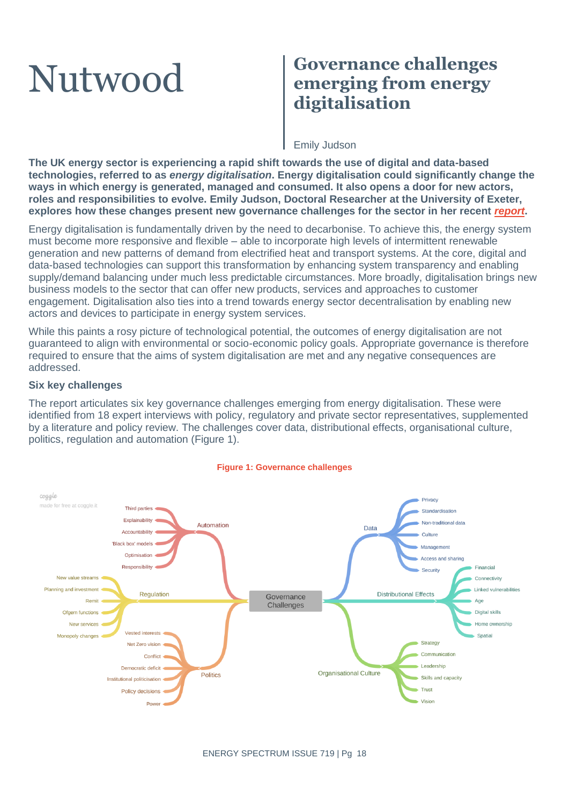# Nutwood **Governance challenges emerging from energy digitalisation**

### Emily Judson

**The UK energy sector is experiencing a rapid shift towards the use of digital and data-based technologies, referred to as** *energy digitalisation***. Energy digitalisation could significantly change the ways in which energy is generated, managed and consumed. It also opens a door for new actors, roles and responsibilities to evolve. Emily Judson, Doctoral Researcher at the University of Exeter, explores how these changes present new governance challenges for the sector in her recent** *[report](https://geography.exeter.ac.uk/media/universityofexeter/schoolofgeography/images/researchgroups/epg/Digital_Energy_Governance_Challenges_-_Discussion_Paper_-_FINAL.pdf)***.**

Energy digitalisation is fundamentally driven by the need to decarbonise. To achieve this, the energy system must become more responsive and flexible – able to incorporate high levels of intermittent renewable generation and new patterns of demand from electrified heat and transport systems. At the core, digital and data-based technologies can support this transformation by enhancing system transparency and enabling supply/demand balancing under much less predictable circumstances. More broadly, digitalisation brings new business models to the sector that can offer new products, services and approaches to customer engagement. Digitalisation also ties into a trend towards energy sector decentralisation by enabling new actors and devices to participate in energy system services.

While this paints a rosy picture of technological potential, the outcomes of energy digitalisation are not guaranteed to align with environmental or socio-economic policy goals. Appropriate governance is therefore required to ensure that the aims of system digitalisation are met and any negative consequences are addressed.

#### **Six key challenges**

The report articulates six key governance challenges emerging from energy digitalisation. These were identified from 18 expert interviews with policy, regulatory and private sector representatives, supplemented by a literature and policy review. The challenges cover data, distributional effects, organisational culture, politics, regulation and automation (Figure 1).



#### **Figure 1: Governance challenges**